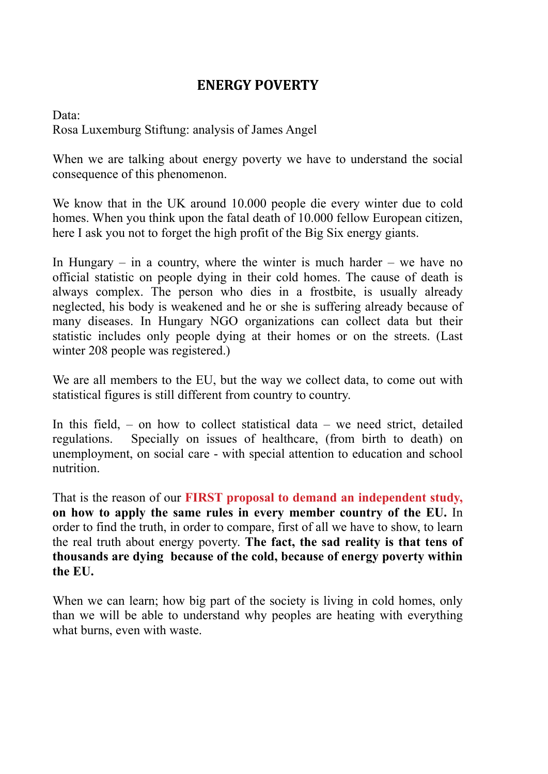## **ENERGY POVERTY**

Data: Rosa Luxemburg Stiftung: analysis of James Angel

When we are talking about energy poverty we have to understand the social consequence of this phenomenon.

We know that in the UK around 10.000 people die every winter due to cold homes. When you think upon the fatal death of 10.000 fellow European citizen, here I ask you not to forget the high profit of the Big Six energy giants.

In Hungary – in a country, where the winter is much harder – we have no official statistic on people dying in their cold homes. The cause of death is always complex. The person who dies in a frostbite, is usually already neglected, his body is weakened and he or she is suffering already because of many diseases. In Hungary NGO organizations can collect data but their statistic includes only people dying at their homes or on the streets. (Last winter 208 people was registered.)

We are all members to the EU, but the way we collect data, to come out with statistical figures is still different from country to country.

In this field,  $-$  on how to collect statistical data  $-$  we need strict, detailed regulations. Specially on issues of healthcare, (from birth to death) on unemployment, on social care - with special attention to education and school nutrition.

That is the reason of our **FIRST proposal to demand an independent study, on how to apply the same rules in every member country of the EU.** In order to find the truth, in order to compare, first of all we have to show, to learn the real truth about energy poverty. **The fact, the sad reality is that tens of thousands are dying because of the cold, because of energy poverty within the EU.** 

When we can learn; how big part of the society is living in cold homes, only than we will be able to understand why peoples are heating with everything what burns, even with waste.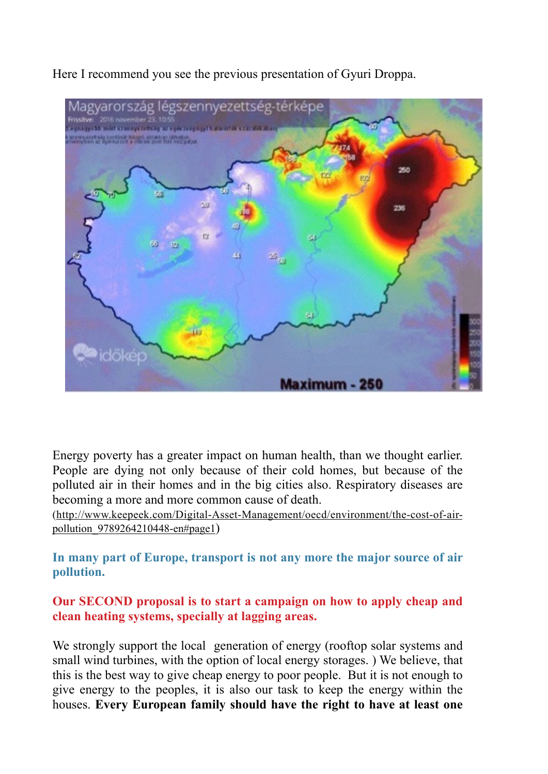Here I recommend you see the previous presentation of Gyuri Droppa.



Energy poverty has a greater impact on human health, than we thought earlier. People are dying not only because of their cold homes, but because of the polluted air in their homes and in the big cities also. Respiratory diseases are becoming a more and more common cause of death.

[\(http://www.keepeek.com/Digital-Asset-Management/oecd/environment/the-cost-of-air](http://www.keepeek.com/Digital-Asset-Management/oecd/environment/the-cost-of-air-pollution_9789264210448-en%22%20%5Cl%20%22page1)pollution\_9789264210448-en#page1)

**In many part of Europe, transport is not any more the major source of air pollution.** 

**Our SECOND proposal is to start a campaign on how to apply cheap and clean heating systems, specially at lagging areas.** 

We strongly support the local generation of energy (rooftop solar systems and small wind turbines, with the option of local energy storages. ) We believe, that this is the best way to give cheap energy to poor people. But it is not enough to give energy to the peoples, it is also our task to keep the energy within the houses. **Every European family should have the right to have at least one**